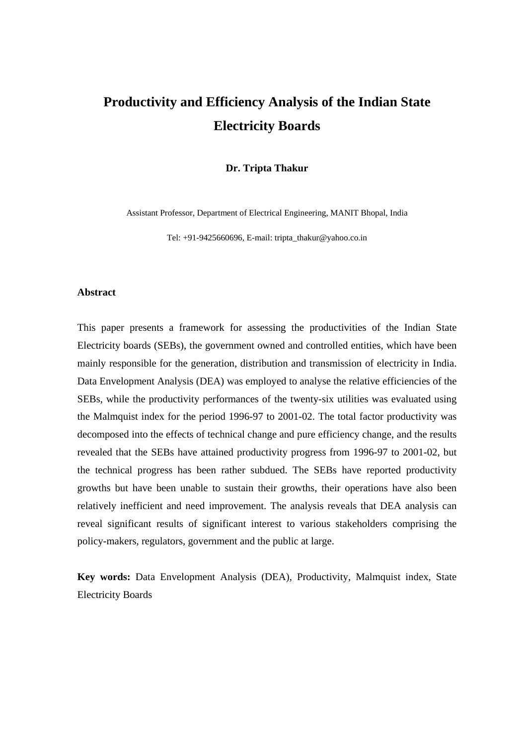# **Productivity and Efficiency Analysis of the Indian State Electricity Boards**

**Dr. Tripta Thakur** 

Assistant Professor, Department of Electrical Engineering, MANIT Bhopal, India

Tel:  $+91-9425660696$ , E-mail: tripta\_thakur@yahoo.co.in

#### **Abstract**

This paper presents a framework for assessing the productivities of the Indian State Electricity boards (SEBs), the government owned and controlled entities, which have been mainly responsible for the generation, distribution and transmission of electricity in India. Data Envelopment Analysis (DEA) was employed to analyse the relative efficiencies of the SEBs, while the productivity performances of the twenty-six utilities was evaluated using the Malmquist index for the period 1996-97 to 2001-02. The total factor productivity was decomposed into the effects of technical change and pure efficiency change, and the results revealed that the SEBs have attained productivity progress from 1996-97 to 2001-02, but the technical progress has been rather subdued. The SEBs have reported productivity growths but have been unable to sustain their growths, their operations have also been relatively inefficient and need improvement. The analysis reveals that DEA analysis can reveal significant results of significant interest to various stakeholders comprising the policy-makers, regulators, government and the public at large.

**Key words:** Data Envelopment Analysis (DEA), Productivity, Malmquist index, State Electricity Boards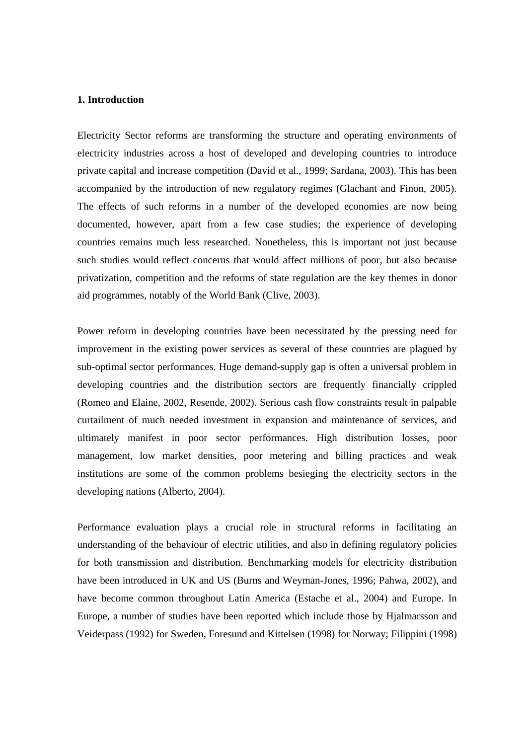#### **1. Introduction**

Electricity Sector reforms are transforming the structure and operating environments of electricity industries across a host of developed and developing countries to introduce private capital and increase competition (David et al., 1999; Sardana, 2003). This has been accompanied by the introduction of new regulatory regimes (Glachant and Finon, 2005). The effects of such reforms in a number of the developed economies are now being documented, however, apart from a few case studies; the experience of developing countries remains much less researched. Nonetheless, this is important not just because such studies would reflect concerns that would affect millions of poor, but also because privatization, competition and the reforms of state regulation are the key themes in donor aid programmes, notably of the World Bank (Clive, 2003).

Power reform in developing countries have been necessitated by the pressing need for improvement in the existing power services as several of these countries are plagued by sub-optimal sector performances. Huge demand-supply gap is often a universal problem in developing countries and the distribution sectors are frequently financially crippled (Romeo and Elaine, 2002, Resende, 2002). Serious cash flow constraints result in palpable curtailment of much needed investment in expansion and maintenance of services, and ultimately manifest in poor sector performances. High distribution losses, poor management, low market densities, poor metering and billing practices and weak institutions are some of the common problems besieging the electricity sectors in the developing nations (Alberto, 2004).

Performance evaluation plays a crucial role in structural reforms in facilitating an understanding of the behaviour of electric utilities, and also in defining regulatory policies for both transmission and distribution. Benchmarking models for electricity distribution have been introduced in UK and US (Burns and Weyman-Jones, 1996; Pahwa, 2002), and have become common throughout Latin America (Estache et al., 2004) and Europe. In Europe, a number of studies have been reported which include those by Hjalmarsson and Veiderpass (1992) for Sweden, Foresund and Kittelsen (1998) for Norway; Filippini (1998)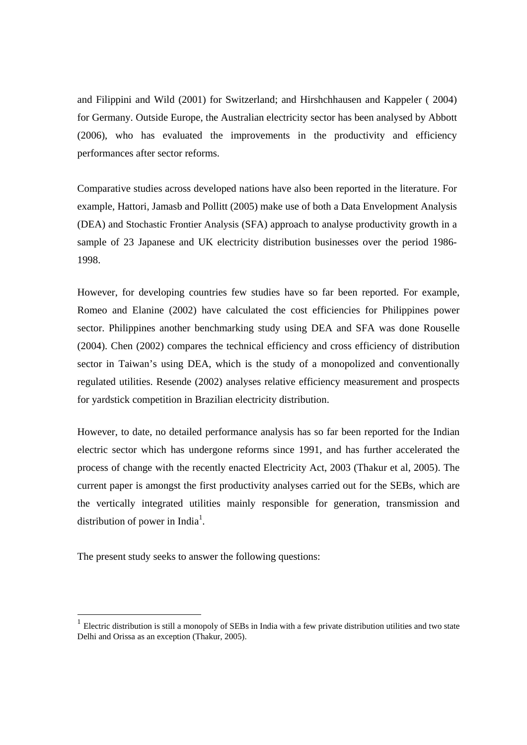and Filippini and Wild (2001) for Switzerland; and Hirshchhausen and Kappeler ( 2004) for Germany. Outside Europe, the Australian electricity sector has been analysed by Abbott (2006), who has evaluated the improvements in the productivity and efficiency performances after sector reforms.

Comparative studies across developed nations have also been reported in the literature. For example, Hattori, Jamasb and Pollitt (2005) make use of both a Data Envelopment Analysis (DEA) and Stochastic Frontier Analysis (SFA) approach to analyse productivity growth in a sample of 23 Japanese and UK electricity distribution businesses over the period 1986- 1998.

However, for developing countries few studies have so far been reported. For example, Romeo and Elanine (2002) have calculated the cost efficiencies for Philippines power sector. Philippines another benchmarking study using DEA and SFA was done Rouselle (2004). Chen (2002) compares the technical efficiency and cross efficiency of distribution sector in Taiwan's using DEA, which is the study of a monopolized and conventionally regulated utilities. Resende (2002) analyses relative efficiency measurement and prospects for yardstick competition in Brazilian electricity distribution.

However, to date, no detailed performance analysis has so far been reported for the Indian electric sector which has undergone reforms since 1991, and has further accelerated the process of change with the recently enacted Electricity Act, 2003 (Thakur et al, 2005). The current paper is amongst the first productivity analyses carried out for the SEBs, which are the vertically integrated utilities mainly responsible for generation, transmission and distribution of power in India<sup>1</sup>.

The present study seeks to answer the following questions:

-

<sup>1</sup> Electric distribution is still a monopoly of SEBs in India with a few private distribution utilities and two state Delhi and Orissa as an exception (Thakur, 2005).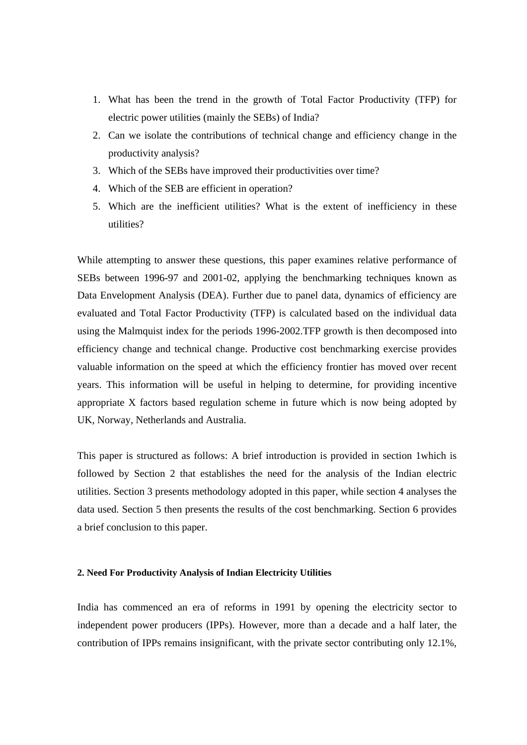- 1. What has been the trend in the growth of Total Factor Productivity (TFP) for electric power utilities (mainly the SEBs) of India?
- 2. Can we isolate the contributions of technical change and efficiency change in the productivity analysis?
- 3. Which of the SEBs have improved their productivities over time?
- 4. Which of the SEB are efficient in operation?
- 5. Which are the inefficient utilities? What is the extent of inefficiency in these utilities?

While attempting to answer these questions, this paper examines relative performance of SEBs between 1996-97 and 2001-02, applying the benchmarking techniques known as Data Envelopment Analysis (DEA). Further due to panel data, dynamics of efficiency are evaluated and Total Factor Productivity (TFP) is calculated based on the individual data using the Malmquist index for the periods 1996-2002.TFP growth is then decomposed into efficiency change and technical change. Productive cost benchmarking exercise provides valuable information on the speed at which the efficiency frontier has moved over recent years. This information will be useful in helping to determine, for providing incentive appropriate X factors based regulation scheme in future which is now being adopted by UK, Norway, Netherlands and Australia.

This paper is structured as follows: A brief introduction is provided in section 1which is followed by Section 2 that establishes the need for the analysis of the Indian electric utilities. Section 3 presents methodology adopted in this paper, while section 4 analyses the data used. Section 5 then presents the results of the cost benchmarking. Section 6 provides a brief conclusion to this paper.

#### **2. Need For Productivity Analysis of Indian Electricity Utilities**

India has commenced an era of reforms in 1991 by opening the electricity sector to independent power producers (IPPs). However, more than a decade and a half later, the contribution of IPPs remains insignificant, with the private sector contributing only 12.1%,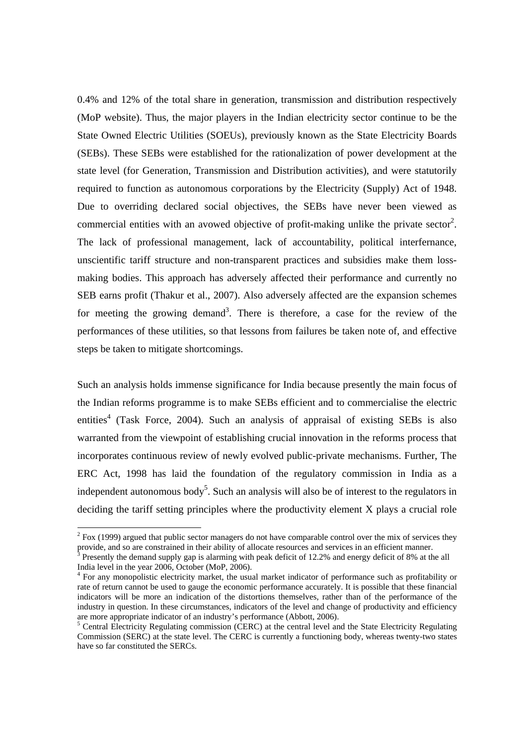0.4% and 12% of the total share in generation, transmission and distribution respectively (MoP website). Thus, the major players in the Indian electricity sector continue to be the State Owned Electric Utilities (SOEUs), previously known as the State Electricity Boards (SEBs). These SEBs were established for the rationalization of power development at the state level (for Generation, Transmission and Distribution activities), and were statutorily required to function as autonomous corporations by the Electricity (Supply) Act of 1948. Due to overriding declared social objectives, the SEBs have never been viewed as commercial entities with an avowed objective of profit-making unlike the private sector<sup>2</sup>. The lack of professional management, lack of accountability, political interfernance, unscientific tariff structure and non-transparent practices and subsidies make them lossmaking bodies. This approach has adversely affected their performance and currently no SEB earns profit (Thakur et al., 2007). Also adversely affected are the expansion schemes for meeting the growing demand<sup>3</sup>. There is therefore, a case for the review of the performances of these utilities, so that lessons from failures be taken note of, and effective steps be taken to mitigate shortcomings.

Such an analysis holds immense significance for India because presently the main focus of the Indian reforms programme is to make SEBs efficient and to commercialise the electric entities<sup>4</sup> (Task Force, 2004). Such an analysis of appraisal of existing SEBs is also warranted from the viewpoint of establishing crucial innovation in the reforms process that incorporates continuous review of newly evolved public-private mechanisms. Further, The ERC Act, 1998 has laid the foundation of the regulatory commission in India as a independent autonomous body<sup>5</sup>. Such an analysis will also be of interest to the regulators in deciding the tariff setting principles where the productivity element X plays a crucial role

 $\overline{a}$ 

 $2^2$  Fox (1999) argued that public sector managers do not have comparable control over the mix of services they provide, and so are constrained in their ability of allocate resources and services in an efficient manner. 3

Presently the demand supply gap is alarming with peak deficit of 12.2% and energy deficit of 8% at the all India level in the year 2006, October (MoP, 2006).

<sup>&</sup>lt;sup>4</sup> For any monopolistic electricity market, the usual market indicator of performance such as profitability or rate of return cannot be used to gauge the economic performance accurately. It is possible that these financial indicators will be more an indication of the distortions themselves, rather than of the performance of the industry in question. In these circumstances, indicators of the level and change of productivity and efficiency are more appropriate indicator of an industry's performance (Abbott, 2006).

<sup>&</sup>lt;sup>5</sup> Central Electricity Regulating commission (CERC) at the central level and the State Electricity Regulating Commission (SERC) at the state level. The CERC is currently a functioning body, whereas twenty-two states have so far constituted the SERCs.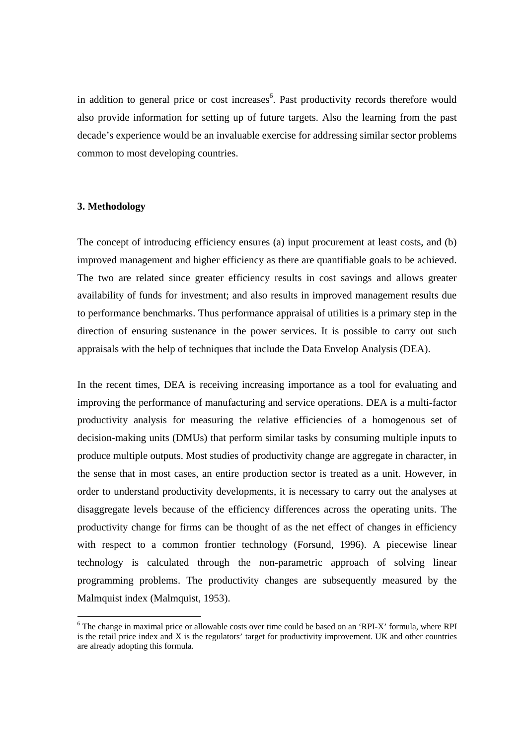in addition to general price or cost increases<sup>6</sup>. Past productivity records therefore would also provide information for setting up of future targets. Also the learning from the past decade's experience would be an invaluable exercise for addressing similar sector problems common to most developing countries.

#### **3. Methodology**

-

The concept of introducing efficiency ensures (a) input procurement at least costs, and (b) improved management and higher efficiency as there are quantifiable goals to be achieved. The two are related since greater efficiency results in cost savings and allows greater availability of funds for investment; and also results in improved management results due to performance benchmarks. Thus performance appraisal of utilities is a primary step in the direction of ensuring sustenance in the power services. It is possible to carry out such appraisals with the help of techniques that include the Data Envelop Analysis (DEA).

In the recent times, DEA is receiving increasing importance as a tool for evaluating and improving the performance of manufacturing and service operations. DEA is a multi-factor productivity analysis for measuring the relative efficiencies of a homogenous set of decision-making units (DMUs) that perform similar tasks by consuming multiple inputs to produce multiple outputs. Most studies of productivity change are aggregate in character, in the sense that in most cases, an entire production sector is treated as a unit. However, in order to understand productivity developments, it is necessary to carry out the analyses at disaggregate levels because of the efficiency differences across the operating units. The productivity change for firms can be thought of as the net effect of changes in efficiency with respect to a common frontier technology (Forsund, 1996). A piecewise linear technology is calculated through the non-parametric approach of solving linear programming problems. The productivity changes are subsequently measured by the Malmquist index (Malmquist, 1953).

<sup>&</sup>lt;sup>6</sup> The change in maximal price or allowable costs over time could be based on an 'RPI-X' formula, where RPI is the retail price index and X is the regulators' target for productivity improvement. UK and other countries are already adopting this formula.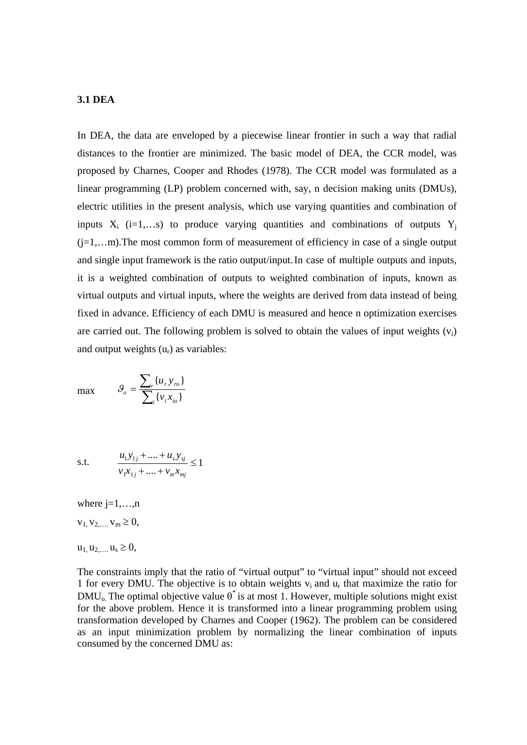#### **3.1 DEA**

In DEA, the data are enveloped by a piecewise linear frontier in such a way that radial distances to the frontier are minimized. The basic model of DEA, the CCR model, was proposed by Charnes, Cooper and Rhodes (1978). The CCR model was formulated as a linear programming (LP) problem concerned with, say, n decision making units (DMUs), electric utilities in the present analysis, which use varying quantities and combination of inputs  $X_i$  (i=1,...s) to produce varying quantities and combinations of outputs  $Y_i$  $(i=1,...m)$ . The most common form of measurement of efficiency in case of a single output and single input framework is the ratio output/input. In case of multiple outputs and inputs, it is a weighted combination of outputs to weighted combination of inputs, known as virtual outputs and virtual inputs, where the weights are derived from data instead of being fixed in advance. Efficiency of each DMU is measured and hence n optimization exercises are carried out. The following problem is solved to obtain the values of input weights  $(v_i)$ and output weights  $(u_r)$  as variables:

$$
\max \qquad \mathcal{G}_o = \frac{\sum_r \{u_r y_{ro}\}}{\sum_i \{v_i x_{io}\}}
$$

s.t. 
$$
\frac{u_1 y_{1j} + \dots + u_s y_{sj}}{v_1 x_{1j} + \dots + v_m x_{mj}} \le 1
$$

where  $i=1,\ldots,n$  $v_1, v_2, \ldots, v_m \geq 0$ ,  $u_1, u_2, \ldots, u_s \geq 0$ ,

The constraints imply that the ratio of "virtual output" to "virtual input" should not exceed 1 for every DMU. The objective is to obtain weights  $v_i$  and  $u_r$  that maximize the ratio for  $\text{DMU}_0$ . The optimal objective value  $\theta^*$  is at most 1. However, multiple solutions might exist for the above problem. Hence it is transformed into a linear programming problem using transformation developed by Charnes and Cooper (1962). The problem can be considered as an input minimization problem by normalizing the linear combination of inputs consumed by the concerned DMU as: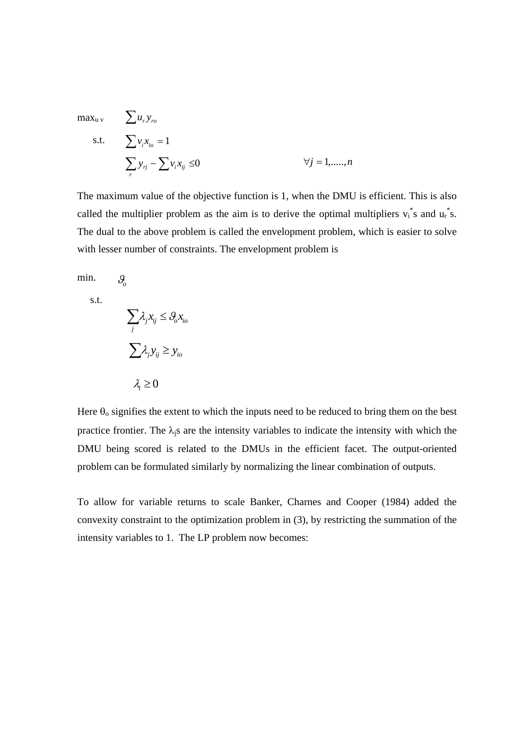$$
\max_{u} \sum u_r y_{ro}
$$
  
s.t. 
$$
\sum v_i x_{io} = 1
$$

$$
\sum_r y_{rj} - \sum v_i x_{ij} \le 0 \qquad \forall j = 1, \dots, n
$$

The maximum value of the objective function is 1, when the DMU is efficient. This is also called the multiplier problem as the aim is to derive the optimal multipliers  $v_i^*$ s and  $u_i^*$ s. The dual to the above problem is called the envelopment problem, which is easier to solve with lesser number of constraints. The envelopment problem is

min.

*o*

s.t.

$$
\sum_{j} \lambda_{j} x_{ij} \leq \theta_{o} x_{io}
$$

$$
\sum_{j} \lambda_{j} y_{ij} \geq y_{io}
$$

$$
\lambda_{i} \geq 0
$$

Here  $\theta_0$  signifies the extent to which the inputs need to be reduced to bring them on the best practice frontier. The  $\lambda_i$ s are the intensity variables to indicate the intensity with which the DMU being scored is related to the DMUs in the efficient facet. The output-oriented problem can be formulated similarly by normalizing the linear combination of outputs.

To allow for variable returns to scale Banker, Charnes and Cooper (1984) added the convexity constraint to the optimization problem in (3), by restricting the summation of the intensity variables to 1. The LP problem now becomes: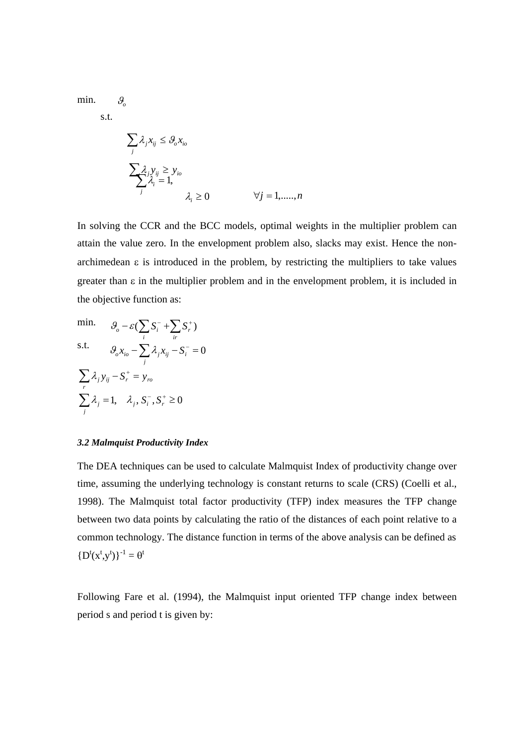min. *o*

s.t.

$$
\sum_{j} \lambda_{j} x_{ij} \leq \vartheta_{o} x_{io}
$$
\n
$$
\sum_{j} \lambda_{j} y_{ij} \geq y_{io}
$$
\n
$$
\lambda_{i} = 1,
$$
\n
$$
\lambda_{i} \geq 0 \qquad \forall j = 1, \dots, n
$$

In solving the CCR and the BCC models, optimal weights in the multiplier problem can attain the value zero. In the envelopment problem also, slacks may exist. Hence the nonarchimedean  $\varepsilon$  is introduced in the problem, by restricting the multipliers to take values greater than  $\varepsilon$  in the multiplier problem and in the envelopment problem, it is included in the objective function as:

min. 
$$
\mathcal{G}_o - \varepsilon \left( \sum_i S_i^- + \sum_{ir} S_r^+ \right)
$$
  
s.t. 
$$
\mathcal{G}_o x_{io} - \sum_j \lambda_j x_{ij} - S_i^- = 0
$$

$$
\sum_r \lambda_j y_{ij} - S_r^+ = y_{ro}
$$

$$
\sum_j \lambda_j = 1, \quad \lambda_j, S_i^-, S_r^+ \ge 0
$$

#### *3.2 Malmquist Productivity Index*

The DEA techniques can be used to calculate Malmquist Index of productivity change over time, assuming the underlying technology is constant returns to scale (CRS) (Coelli et al., 1998). The Malmquist total factor productivity (TFP) index measures the TFP change between two data points by calculating the ratio of the distances of each point relative to a common technology. The distance function in terms of the above analysis can be defined as  ${D^{t}(x^{t},y^{t})}^{-1} = \theta^{t}$ 

Following Fare et al. (1994), the Malmquist input oriented TFP change index between period s and period t is given by: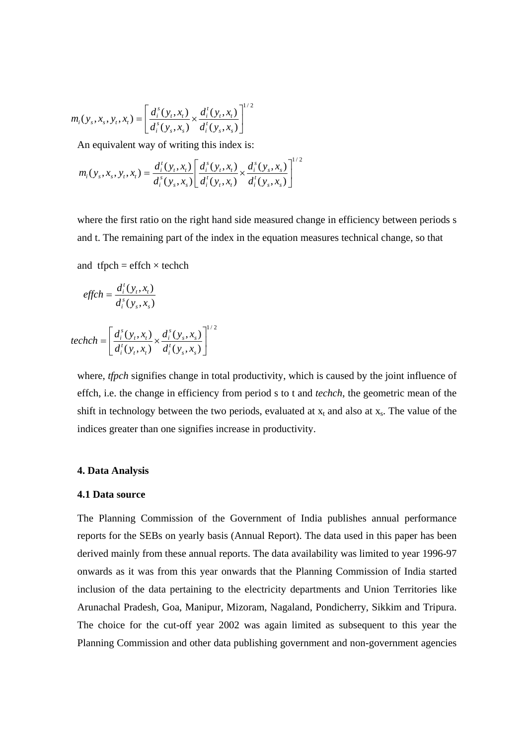$$
m_i(y_s, x_s, y_t, x_t) = \left[ \frac{d_i^s(y_t, x_t)}{d_i^s(y_s, x_s)} \times \frac{d_i^t(y_t, x_t)}{d_i^t(y_s, x_s)} \right]^{1/2}
$$

An equivalent way of writing this index is:

$$
m_i(y_s, x_s, y_t, x_t) = \frac{d_i^t(y_t, x_t)}{d_i^s(y_s, x_s)} \left[ \frac{d_i^s(y_t, x_t)}{d_i^t(y_t, x_t)} \times \frac{d_i^s(y_s, x_s)}{d_i^t(y_s, x_s)} \right]^{1/2}
$$

where the first ratio on the right hand side measured change in efficiency between periods s and t. The remaining part of the index in the equation measures technical change, so that

1 / 2

and  $tfpch = effch \times techn$ 

$$
effch = \frac{d_i^t(y_t, x_t)}{d_i^s(y_s, x_s)}
$$

$$
techch = \left[\frac{d_i^s(y_i, x_i)}{d_i^t(y_i, x_i)} \times \frac{d_i^s(y_s, x_s)}{d_i^t(y_s, x_s)}\right]^{1/2}
$$

where, *tfpch* signifies change in total productivity, which is caused by the joint influence of effch, i.e. the change in efficiency from period s to t and *techch*, the geometric mean of the shift in technology between the two periods, evaluated at  $x_t$  and also at  $x_s$ . The value of the indices greater than one signifies increase in productivity.

## **4. Data Analysis**

# **4.1 Data source**

The Planning Commission of the Government of India publishes annual performance reports for the SEBs on yearly basis (Annual Report). The data used in this paper has been derived mainly from these annual reports. The data availability was limited to year 1996-97 onwards as it was from this year onwards that the Planning Commission of India started inclusion of the data pertaining to the electricity departments and Union Territories like Arunachal Pradesh, Goa, Manipur, Mizoram, Nagaland, Pondicherry, Sikkim and Tripura. The choice for the cut-off year 2002 was again limited as subsequent to this year the Planning Commission and other data publishing government and non-government agencies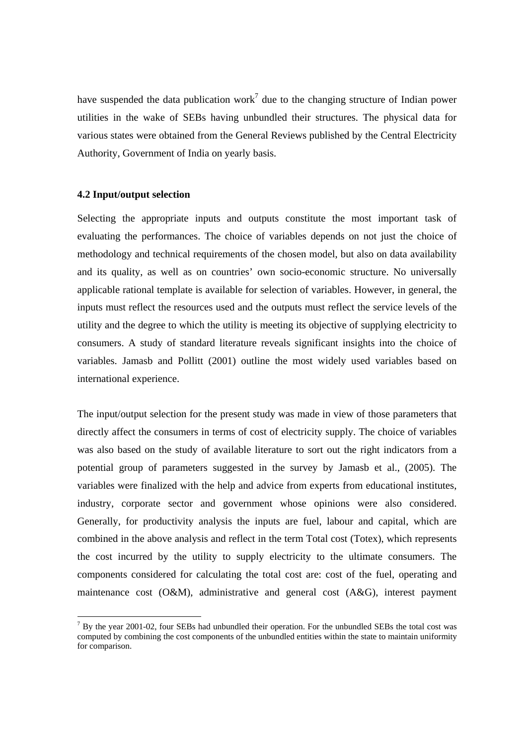have suspended the data publication work<sup>7</sup> due to the changing structure of Indian power utilities in the wake of SEBs having unbundled their structures. The physical data for various states were obtained from the General Reviews published by the Central Electricity Authority, Government of India on yearly basis.

# **4.2 Input/output selection**

-

Selecting the appropriate inputs and outputs constitute the most important task of evaluating the performances. The choice of variables depends on not just the choice of methodology and technical requirements of the chosen model, but also on data availability and its quality, as well as on countries' own socio-economic structure. No universally applicable rational template is available for selection of variables. However, in general, the inputs must reflect the resources used and the outputs must reflect the service levels of the utility and the degree to which the utility is meeting its objective of supplying electricity to consumers. A study of standard literature reveals significant insights into the choice of variables. Jamasb and Pollitt (2001) outline the most widely used variables based on international experience.

The input/output selection for the present study was made in view of those parameters that directly affect the consumers in terms of cost of electricity supply. The choice of variables was also based on the study of available literature to sort out the right indicators from a potential group of parameters suggested in the survey by Jamasb et al., (2005). The variables were finalized with the help and advice from experts from educational institutes, industry, corporate sector and government whose opinions were also considered. Generally, for productivity analysis the inputs are fuel, labour and capital, which are combined in the above analysis and reflect in the term Total cost (Totex), which represents the cost incurred by the utility to supply electricity to the ultimate consumers. The components considered for calculating the total cost are: cost of the fuel, operating and maintenance cost (O&M), administrative and general cost (A&G), interest payment

 $<sup>7</sup>$  By the year 2001-02, four SEBs had unbundled their operation. For the unbundled SEBs the total cost was</sup> computed by combining the cost components of the unbundled entities within the state to maintain uniformity for comparison.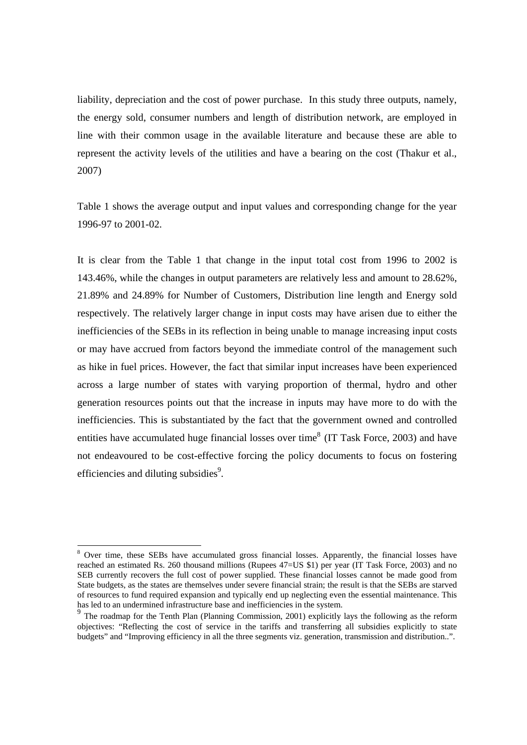liability, depreciation and the cost of power purchase. In this study three outputs, namely, the energy sold, consumer numbers and length of distribution network, are employed in line with their common usage in the available literature and because these are able to represent the activity levels of the utilities and have a bearing on the cost (Thakur et al., 2007)

Table 1 shows the average output and input values and corresponding change for the year 1996-97 to 2001-02.

It is clear from the Table 1 that change in the input total cost from 1996 to 2002 is 143.46%, while the changes in output parameters are relatively less and amount to 28.62%, 21.89% and 24.89% for Number of Customers, Distribution line length and Energy sold respectively. The relatively larger change in input costs may have arisen due to either the inefficiencies of the SEBs in its reflection in being unable to manage increasing input costs or may have accrued from factors beyond the immediate control of the management such as hike in fuel prices. However, the fact that similar input increases have been experienced across a large number of states with varying proportion of thermal, hydro and other generation resources points out that the increase in inputs may have more to do with the inefficiencies. This is substantiated by the fact that the government owned and controlled entities have accumulated huge financial losses over time<sup>8</sup> (IT Task Force, 2003) and have not endeavoured to be cost-effective forcing the policy documents to focus on fostering efficiencies and diluting subsidies<sup>9</sup>.

-

<sup>&</sup>lt;sup>8</sup> Over time, these SEBs have accumulated gross financial losses. Apparently, the financial losses have reached an estimated Rs. 260 thousand millions (Rupees 47=US \$1) per year (IT Task Force, 2003) and no SEB currently recovers the full cost of power supplied. These financial losses cannot be made good from State budgets, as the states are themselves under severe financial strain; the result is that the SEBs are starved of resources to fund required expansion and typically end up neglecting even the essential maintenance. This has led to an undermined infrastructure base and inefficiencies in the system.

<sup>&</sup>lt;sup>9</sup> The roadmap for the Tenth Plan (Planning Commission, 2001) explicitly lays the following as the reform objectives: "Reflecting the cost of service in the tariffs and transferring all subsidies explicitly to state budgets" and "Improving efficiency in all the three segments viz. generation, transmission and distribution..".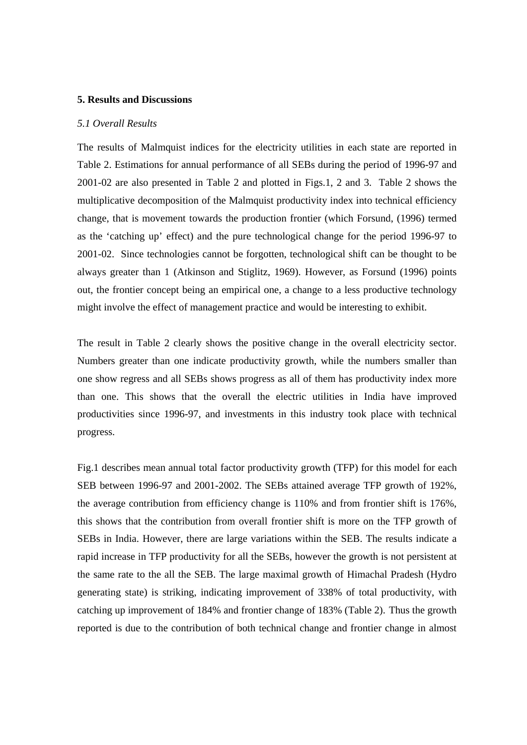#### **5. Results and Discussions**

#### *5.1 Overall Results*

The results of Malmquist indices for the electricity utilities in each state are reported in Table 2. Estimations for annual performance of all SEBs during the period of 1996-97 and 2001-02 are also presented in Table 2 and plotted in Figs.1, 2 and 3. Table 2 shows the multiplicative decomposition of the Malmquist productivity index into technical efficiency change, that is movement towards the production frontier (which Forsund, (1996) termed as the 'catching up' effect) and the pure technological change for the period 1996-97 to 2001-02. Since technologies cannot be forgotten, technological shift can be thought to be always greater than 1 (Atkinson and Stiglitz, 1969). However, as Forsund (1996) points out, the frontier concept being an empirical one, a change to a less productive technology might involve the effect of management practice and would be interesting to exhibit.

The result in Table 2 clearly shows the positive change in the overall electricity sector. Numbers greater than one indicate productivity growth, while the numbers smaller than one show regress and all SEBs shows progress as all of them has productivity index more than one. This shows that the overall the electric utilities in India have improved productivities since 1996-97, and investments in this industry took place with technical progress.

 Fig.1 describes mean annual total factor productivity growth (TFP) for this model for each SEB between 1996-97 and 2001-2002. The SEBs attained average TFP growth of 192%, the average contribution from efficiency change is 110% and from frontier shift is 176%, this shows that the contribution from overall frontier shift is more on the TFP growth of SEBs in India. However, there are large variations within the SEB. The results indicate a rapid increase in TFP productivity for all the SEBs, however the growth is not persistent at the same rate to the all the SEB. The large maximal growth of Himachal Pradesh (Hydro generating state) is striking, indicating improvement of 338% of total productivity, with catching up improvement of 184% and frontier change of 183% (Table 2). Thus the growth reported is due to the contribution of both technical change and frontier change in almost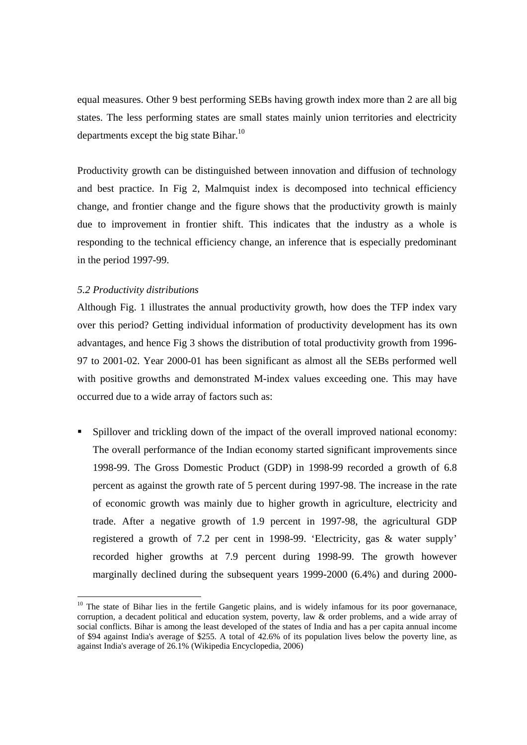equal measures. Other 9 best performing SEBs having growth index more than 2 are all big states. The less performing states are small states mainly union territories and electricity departments except the big state Bihar.<sup>10</sup>

Productivity growth can be distinguished between innovation and diffusion of technology and best practice. In Fig 2, Malmquist index is decomposed into technical efficiency change, and frontier change and the figure shows that the productivity growth is mainly due to improvement in frontier shift. This indicates that the industry as a whole is responding to the technical efficiency change, an inference that is especially predominant in the period 1997-99.

# *5.2 Productivity distributions*

-

 Although Fig. 1 illustrates the annual productivity growth, how does the TFP index vary over this period? Getting individual information of productivity development has its own advantages, and hence Fig 3 shows the distribution of total productivity growth from 1996- 97 to 2001-02. Year 2000-01 has been significant as almost all the SEBs performed well with positive growths and demonstrated M-index values exceeding one. This may have occurred due to a wide array of factors such as:

 Spillover and trickling down of the impact of the overall improved national economy: The overall performance of the Indian economy started significant improvements since 1998-99. The Gross Domestic Product (GDP) in 1998-99 recorded a growth of 6.8 percent as against the growth rate of 5 percent during 1997-98. The increase in the rate of economic growth was mainly due to higher growth in agriculture, electricity and trade. After a negative growth of 1.9 percent in 1997-98, the agricultural GDP registered a growth of 7.2 per cent in 1998-99. 'Electricity, gas & water supply' recorded higher growths at 7.9 percent during 1998-99. The growth however marginally declined during the subsequent years 1999-2000 (6.4%) and during 2000-

 $10$  The state of Bihar lies in the fertile Gangetic plains, and is widely infamous for its poor governanace, corruption, a decadent political and education system, poverty, law & order problems, and a wide array of social conflicts. Bihar is among the least developed of the states of India and has a per capita annual income of \$94 against India's average of \$255. A total of 42.6% of its population lives below the poverty line, as against India's average of 26.1% (Wikipedia Encyclopedia, 2006)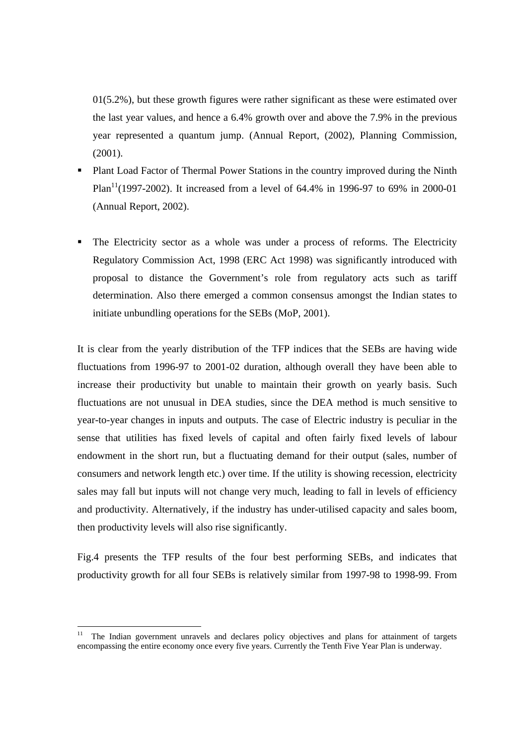$01(5.2\%)$ , but these growth figures were rather significant as these were estimated over the last year values, and hence a 6.4% growth over and above the 7.9% in the previous year represented a quantum jump. (Annual Report, (2002), Planning Commission, (2001).

- **Plant Load Factor of Thermal Power Stations in the country improved during the Ninth** Plan<sup>11</sup>(1997-2002). It increased from a level of 64.4% in 1996-97 to 69% in 2000-01 (Annual Report, 2002).
- The Electricity sector as a whole was under a process of reforms. The Electricity Regulatory Commission Act, 1998 (ERC Act 1998) was significantly introduced with proposal to distance the Government's role from regulatory acts such as tariff determination. Also there emerged a common consensus amongst the Indian states to initiate unbundling operations for the SEBs (MoP, 2001).

It is clear from the yearly distribution of the TFP indices that the SEBs are having wide fluctuations from 1996-97 to 2001-02 duration, although overall they have been able to increase their productivity but unable to maintain their growth on yearly basis. Such fluctuations are not unusual in DEA studies, since the DEA method is much sensitive to year-to-year changes in inputs and outputs. The case of Electric industry is peculiar in the sense that utilities has fixed levels of capital and often fairly fixed levels of labour endowment in the short run, but a fluctuating demand for their output (sales, number of consumers and network length etc.) over time. If the utility is showing recession, electricity sales may fall but inputs will not change very much, leading to fall in levels of efficiency and productivity. Alternatively, if the industry has under-utilised capacity and sales boom, then productivity levels will also rise significantly.

Fig.4 presents the TFP results of the four best performing SEBs, and indicates that productivity growth for all four SEBs is relatively similar from 1997-98 to 1998-99. From

 $11\,$ The Indian government unravels and declares policy objectives and plans for attainment of targets encompassing the entire economy once every five years. Currently the Tenth Five Year Plan is underway.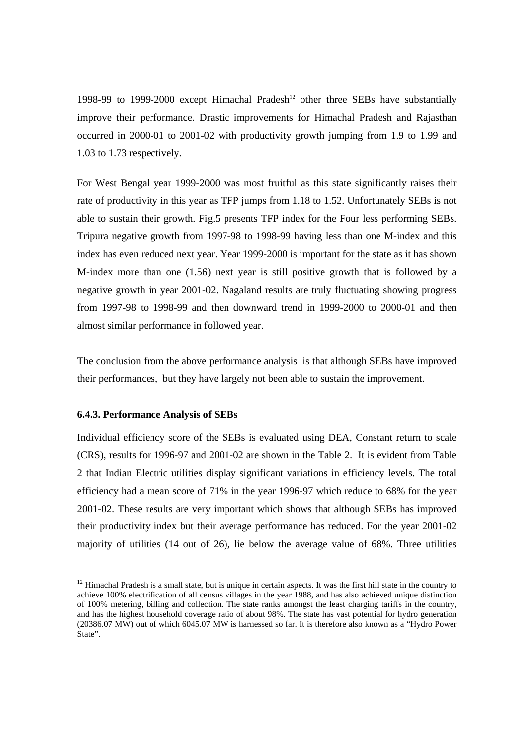1998-99 to 1999-2000 except Himachal Pradesh<sup>12</sup> other three SEBs have substantially improve their performance. Drastic improvements for Himachal Pradesh and Rajasthan occurred in 2000-01 to 2001-02 with productivity growth jumping from 1.9 to 1.99 and 1.03 to 1.73 respectively.

For West Bengal year 1999-2000 was most fruitful as this state significantly raises their rate of productivity in this year as TFP jumps from 1.18 to 1.52. Unfortunately SEBs is not able to sustain their growth. Fig.5 presents TFP index for the Four less performing SEBs. Tripura negative growth from 1997-98 to 1998-99 having less than one M-index and this index has even reduced next year. Year 1999-2000 is important for the state as it has shown M-index more than one (1.56) next year is still positive growth that is followed by a negative growth in year 2001-02. Nagaland results are truly fluctuating showing progress from 1997-98 to 1998-99 and then downward trend in 1999-2000 to 2000-01 and then almost similar performance in followed year.

The conclusion from the above performance analysis is that although SEBs have improved their performances, but they have largely not been able to sustain the improvement.

# **6.4.3. Performance Analysis of SEBs**

-

Individual efficiency score of the SEBs is evaluated using DEA, Constant return to scale (CRS), results for 1996-97 and 2001-02 are shown in the Table 2. It is evident from Table 2 that Indian Electric utilities display significant variations in efficiency levels. The total efficiency had a mean score of 71% in the year 1996-97 which reduce to 68% for the year 2001-02. These results are very important which shows that although SEBs has improved their productivity index but their average performance has reduced. For the year 2001-02 majority of utilities (14 out of 26), lie below the average value of 68%. Three utilities

 $12$  Himachal Pradesh is a small state, but is unique in certain aspects. It was the first hill state in the country to achieve 100% electrification of all census villages in the year 1988, and has also achieved unique distinction of 100% metering, billing and collection. The state ranks amongst the least charging tariffs in the country, and has the highest household coverage ratio of about 98%. The state has vast potential for hydro generation (20386.07 MW) out of which 6045.07 MW is harnessed so far. It is therefore also known as a "Hydro Power State".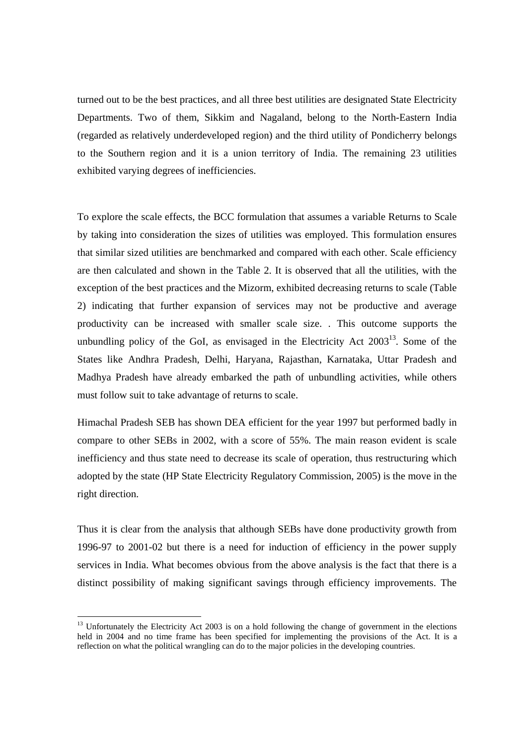turned out to be the best practices, and all three best utilities are designated State Electricity Departments. Two of them, Sikkim and Nagaland, belong to the North-Eastern India (regarded as relatively underdeveloped region) and the third utility of Pondicherry belongs to the Southern region and it is a union territory of India. The remaining 23 utilities exhibited varying degrees of inefficiencies.

To explore the scale effects, the BCC formulation that assumes a variable Returns to Scale by taking into consideration the sizes of utilities was employed. This formulation ensures that similar sized utilities are benchmarked and compared with each other. Scale efficiency are then calculated and shown in the Table 2. It is observed that all the utilities, with the exception of the best practices and the Mizorm, exhibited decreasing returns to scale (Table 2) indicating that further expansion of services may not be productive and average productivity can be increased with smaller scale size. . This outcome supports the unbundling policy of the GoI, as envisaged in the Electricity Act  $2003<sup>13</sup>$ . Some of the States like Andhra Pradesh, Delhi, Haryana, Rajasthan, Karnataka, Uttar Pradesh and Madhya Pradesh have already embarked the path of unbundling activities, while others must follow suit to take advantage of returns to scale.

Himachal Pradesh SEB has shown DEA efficient for the year 1997 but performed badly in compare to other SEBs in 2002, with a score of 55%. The main reason evident is scale inefficiency and thus state need to decrease its scale of operation, thus restructuring which adopted by the state (HP State Electricity Regulatory Commission, 2005) is the move in the right direction.

Thus it is clear from the analysis that although SEBs have done productivity growth from 1996-97 to 2001-02 but there is a need for induction of efficiency in the power supply services in India. What becomes obvious from the above analysis is the fact that there is a distinct possibility of making significant savings through efficiency improvements. The

-

<sup>&</sup>lt;sup>13</sup> Unfortunately the Electricity Act 2003 is on a hold following the change of government in the elections held in 2004 and no time frame has been specified for implementing the provisions of the Act. It is a reflection on what the political wrangling can do to the major policies in the developing countries.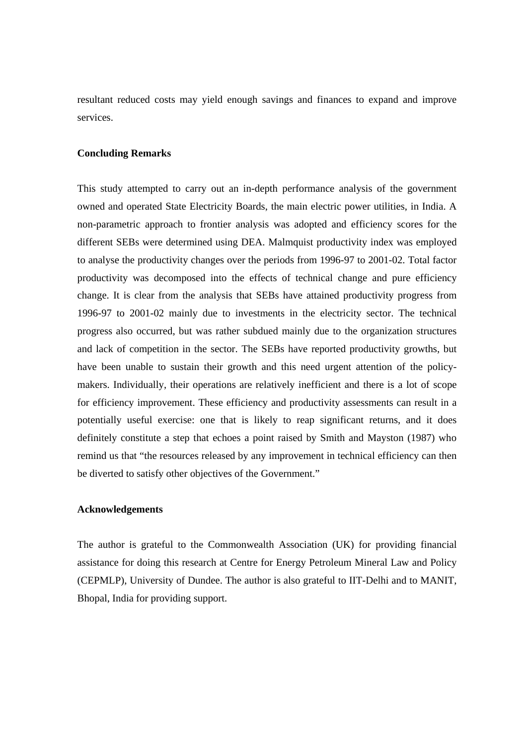resultant reduced costs may yield enough savings and finances to expand and improve services.

# **Concluding Remarks**

This study attempted to carry out an in-depth performance analysis of the government owned and operated State Electricity Boards, the main electric power utilities, in India. A non-parametric approach to frontier analysis was adopted and efficiency scores for the different SEBs were determined using DEA. Malmquist productivity index was employed to analyse the productivity changes over the periods from 1996-97 to 2001-02. Total factor productivity was decomposed into the effects of technical change and pure efficiency change. It is clear from the analysis that SEBs have attained productivity progress from 1996-97 to 2001-02 mainly due to investments in the electricity sector. The technical progress also occurred, but was rather subdued mainly due to the organization structures and lack of competition in the sector. The SEBs have reported productivity growths, but have been unable to sustain their growth and this need urgent attention of the policymakers. Individually, their operations are relatively inefficient and there is a lot of scope for efficiency improvement. These efficiency and productivity assessments can result in a potentially useful exercise: one that is likely to reap significant returns, and it does definitely constitute a step that echoes a point raised by Smith and Mayston (1987) who remind us that "the resources released by any improvement in technical efficiency can then be diverted to satisfy other objectives of the Government."

# **Acknowledgements**

The author is grateful to the Commonwealth Association (UK) for providing financial assistance for doing this research at Centre for Energy Petroleum Mineral Law and Policy (CEPMLP), University of Dundee. The author is also grateful to IIT-Delhi and to MANIT, Bhopal, India for providing support.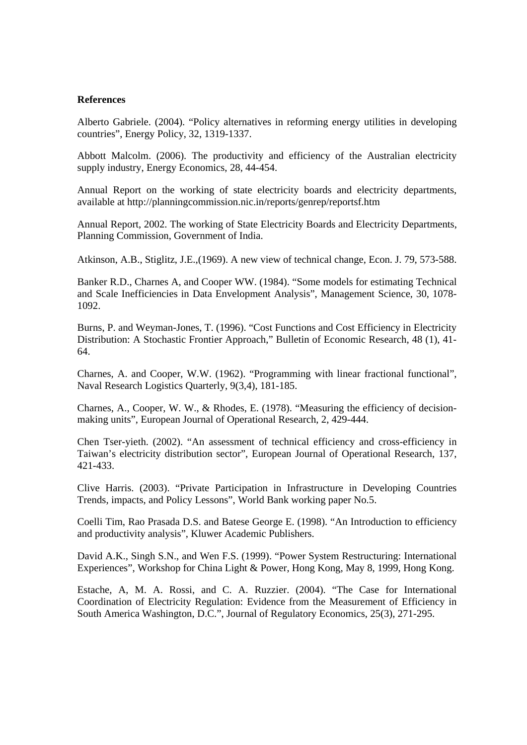# **References**

Alberto Gabriele. (2004). "Policy alternatives in reforming energy utilities in developing countries", Energy Policy, 32, 1319-1337.

Abbott Malcolm. (2006). The productivity and efficiency of the Australian electricity supply industry, Energy Economics, 28, 44-454.

Annual Report on the working of state electricity boards and electricity departments, available at http://planningcommission.nic.in/reports/genrep/reportsf.htm

Annual Report, 2002. The working of State Electricity Boards and Electricity Departments, Planning Commission, Government of India.

Atkinson, A.B., Stiglitz, J.E.,(1969). A new view of technical change, Econ. J. 79, 573-588.

Banker R.D., Charnes A, and Cooper WW. (1984). "Some models for estimating Technical and Scale Inefficiencies in Data Envelopment Analysis", Management Science, 30, 1078- 1092.

Burns, P. and Weyman-Jones, T. (1996). "Cost Functions and Cost Efficiency in Electricity Distribution: A Stochastic Frontier Approach," Bulletin of Economic Research, 48 (1), 41- 64.

Charnes, A. and Cooper, W.W. (1962). "Programming with linear fractional functional", Naval Research Logistics Quarterly, 9(3,4), 181-185.

Charnes, A., Cooper, W. W., & Rhodes, E. (1978). "Measuring the efficiency of decisionmaking units", European Journal of Operational Research, 2, 429-444.

Chen Tser-yieth. (2002). "An assessment of technical efficiency and cross-efficiency in Taiwan's electricity distribution sector", European Journal of Operational Research, 137, 421-433.

Clive Harris. (2003). "Private Participation in Infrastructure in Developing Countries Trends, impacts, and Policy Lessons", World Bank working paper No.5.

Coelli Tim, Rao Prasada D.S. and Batese George E. (1998). "An Introduction to efficiency and productivity analysis", Kluwer Academic Publishers.

David A.K., Singh S.N., and Wen F.S. (1999). "Power System Restructuring: International Experiences", Workshop for China Light & Power, Hong Kong, May 8, 1999, Hong Kong.

Estache, A, M. A. Rossi, and C. A. Ruzzier. (2004). "The Case for International Coordination of Electricity Regulation: Evidence from the Measurement of Efficiency in South America Washington, D.C.", Journal of Regulatory Economics, 25(3), 271-295.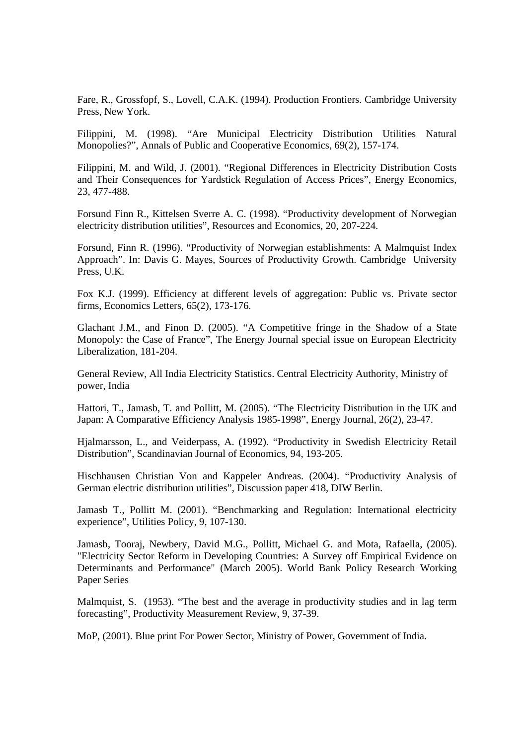Fare, R., Grossfopf, S., Lovell, C.A.K. (1994). Production Frontiers. Cambridge University Press, New York.

Filippini, M. (1998). "Are Municipal Electricity Distribution Utilities Natural Monopolies?", Annals of Public and Cooperative Economics, 69(2), 157-174.

Filippini, M. and Wild, J. (2001). "Regional Differences in Electricity Distribution Costs and Their Consequences for Yardstick Regulation of Access Prices", Energy Economics, 23, 477-488.

Forsund Finn R., Kittelsen Sverre A. C. (1998). "Productivity development of Norwegian electricity distribution utilities", Resources and Economics, 20, 207-224.

Forsund, Finn R. (1996). "Productivity of Norwegian establishments: A Malmquist Index Approach". In: Davis G. Mayes, Sources of Productivity Growth. Cambridge University Press, U.K.

Fox K.J. (1999). Efficiency at different levels of aggregation: Public vs. Private sector firms, Economics Letters, 65(2), 173-176.

Glachant J.M., and Finon D. (2005). "A Competitive fringe in the Shadow of a State Monopoly: the Case of France", The Energy Journal special issue on European Electricity Liberalization, 181-204.

General Review, All India Electricity Statistics. Central Electricity Authority, Ministry of power, India

Hattori, T., Jamasb, T. and Pollitt, M. (2005). "The Electricity Distribution in the UK and Japan: A Comparative Efficiency Analysis 1985-1998", Energy Journal, 26(2), 23-47.

Hjalmarsson, L., and Veiderpass, A. (1992). "Productivity in Swedish Electricity Retail Distribution", Scandinavian Journal of Economics, 94, 193-205.

Hischhausen Christian Von and Kappeler Andreas. (2004). "Productivity Analysis of German electric distribution utilities", Discussion paper 418, DIW Berlin.

Jamasb T., Pollitt M. (2001). "Benchmarking and Regulation: International electricity experience", Utilities Policy, 9, 107-130.

Jamasb, Tooraj, Newbery, David M.G., Pollitt, Michael G. and Mota, Rafaella, (2005). "Electricity Sector Reform in Developing Countries: A Survey off Empirical Evidence on Determinants and Performance" (March 2005). World Bank Policy Research Working Paper Series

Malmquist, S. (1953). "The best and the average in productivity studies and in lag term forecasting", Productivity Measurement Review, 9, 37-39.

MoP, (2001). Blue print For Power Sector, Ministry of Power, Government of India.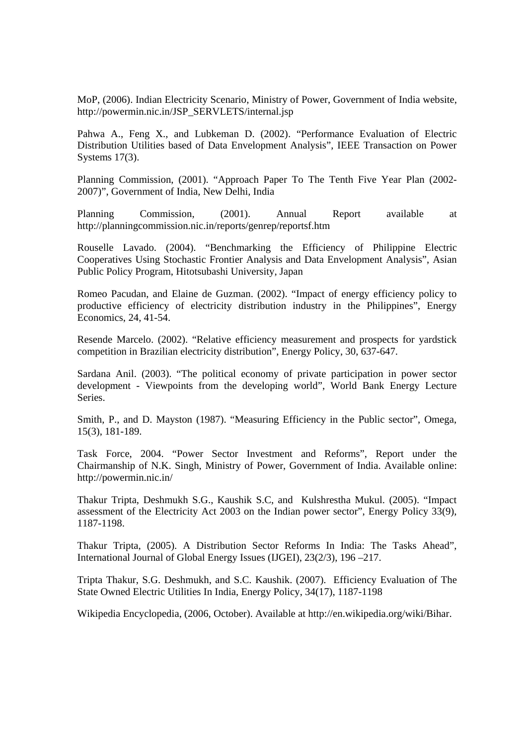MoP, (2006). Indian Electricity Scenario, Ministry of Power, Government of India website, http://powermin.nic.in/JSP\_SERVLETS/internal.jsp

Pahwa A., Feng X., and Lubkeman D. (2002). "Performance Evaluation of Electric Distribution Utilities based of Data Envelopment Analysis", IEEE Transaction on Power Systems 17(3).

Planning Commission, (2001). "Approach Paper To The Tenth Five Year Plan (2002- 2007)", Government of India, New Delhi, India

Planning Commission, (2001). Annual Report available at http://planningcommission.nic.in/reports/genrep/reportsf.htm

Rouselle Lavado. (2004). "Benchmarking the Efficiency of Philippine Electric Cooperatives Using Stochastic Frontier Analysis and Data Envelopment Analysis", Asian Public Policy Program, Hitotsubashi University, Japan

Romeo Pacudan, and Elaine de Guzman. (2002). "Impact of energy efficiency policy to productive efficiency of electricity distribution industry in the Philippines", Energy Economics, 24, 41-54.

Resende Marcelo. (2002). "Relative efficiency measurement and prospects for yardstick competition in Brazilian electricity distribution", Energy Policy, 30, 637-647.

Sardana Anil. (2003). "The political economy of private participation in power sector development - Viewpoints from the developing world", World Bank Energy Lecture Series.

Smith, P., and D. Mayston (1987). "Measuring Efficiency in the Public sector", Omega, 15(3), 181-189.

Task Force, 2004. "Power Sector Investment and Reforms", Report under the Chairmanship of N.K. Singh, Ministry of Power, Government of India. Available online: http://powermin.nic.in/

Thakur Tripta, Deshmukh S.G., Kaushik S.C, and Kulshrestha Mukul. (2005). "Impact assessment of the Electricity Act 2003 on the Indian power sector", Energy Policy 33(9), 1187-1198.

Thakur Tripta, (2005). A Distribution Sector Reforms In India: The Tasks Ahead", International Journal of Global Energy Issues (IJGEI), 23(2/3), 196 –217.

 Tripta Thakur, S.G. Deshmukh, and S.C. Kaushik. (2007). Efficiency Evaluation of The State Owned Electric Utilities In India, Energy Policy, 34(17), 1187-1198

Wikipedia Encyclopedia, (2006, October). Available at http://en.wikipedia.org/wiki/Bihar.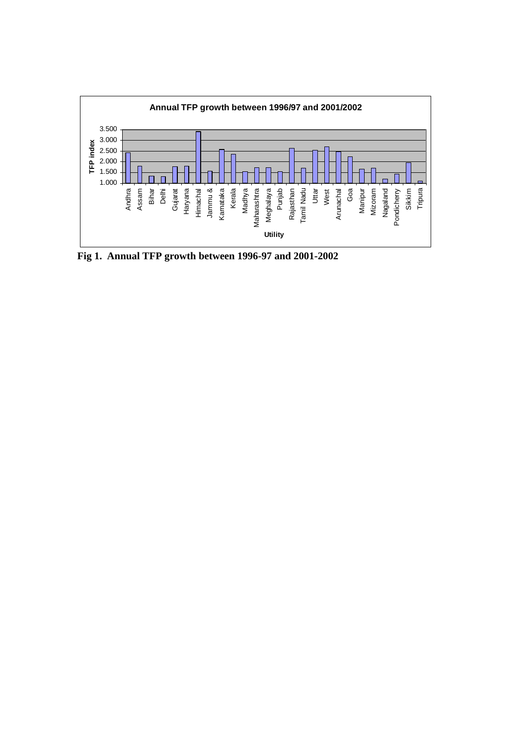

**Fig 1. Annual TFP growth between 1996-97 and 2001-2002**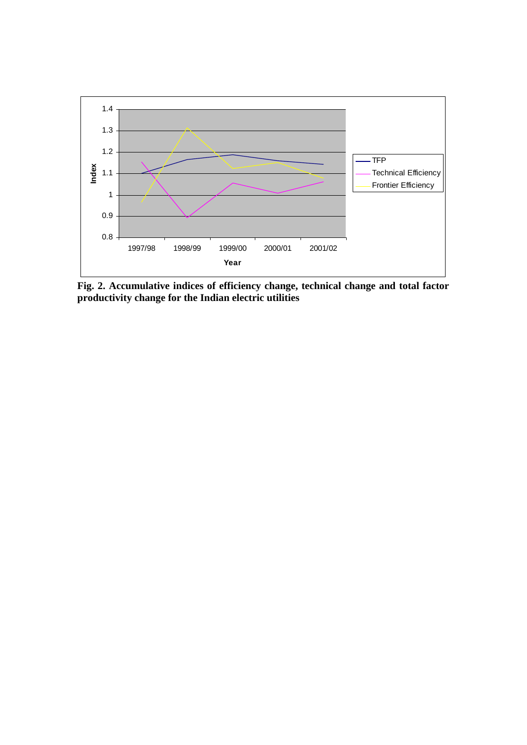

 **Fig. 2. Accumulative indices of efficiency change, technical change and total factor productivity change for the Indian electric utilities**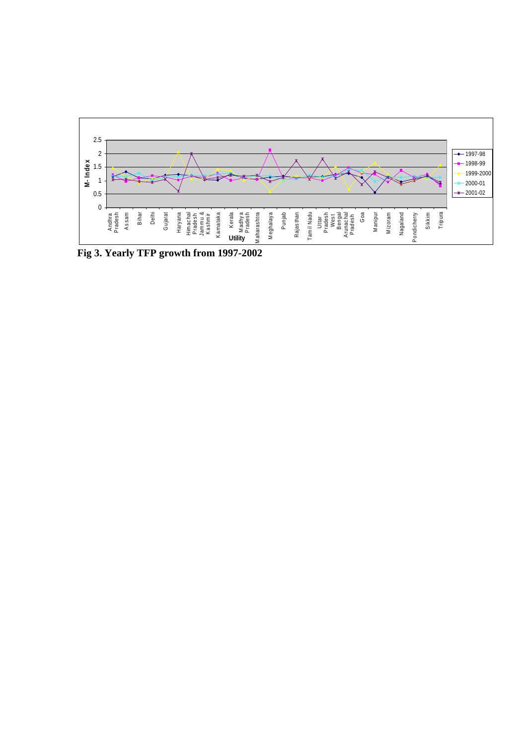

**Fig 3. Yearly TFP growth from 1997-2002**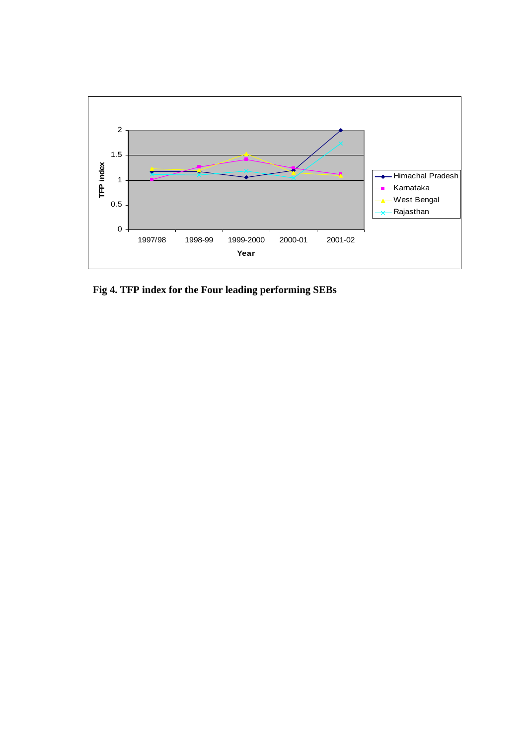

 **Fig 4. TFP index for the Four leading performing SEBs**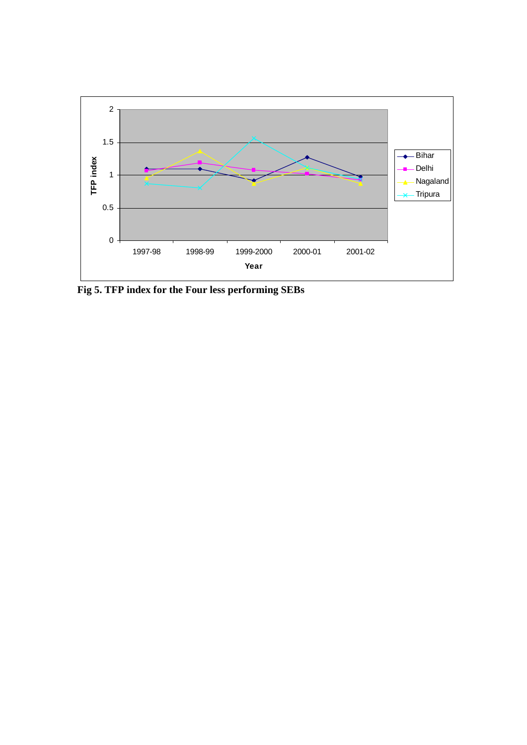

**Fig 5. TFP index for the Four less performing SEBs**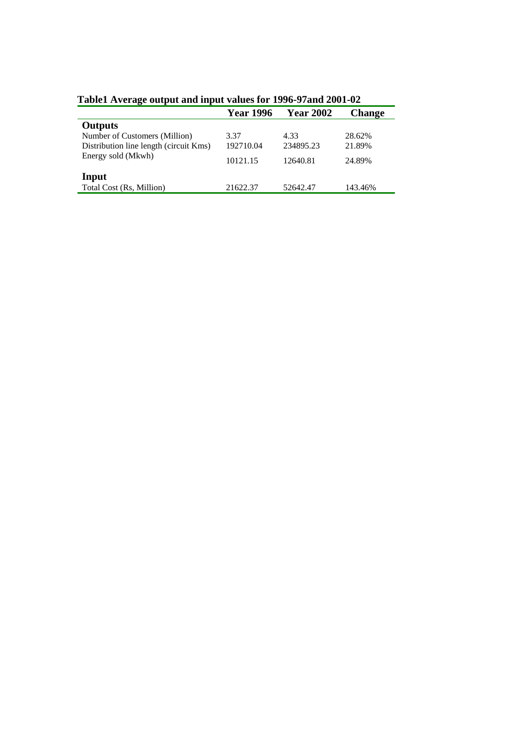|                                        | <b>Year 1996</b> | <b>Year 2002</b> | <b>Change</b> |  |
|----------------------------------------|------------------|------------------|---------------|--|
| <b>Outputs</b>                         |                  |                  |               |  |
| Number of Customers (Million)          | 3.37             | 4.33             | 28.62%        |  |
| Distribution line length (circuit Kms) | 192710.04        | 234895.23        | 21.89%        |  |
| Energy sold (Mkwh)                     | 10121.15         | 12640.81         | 24.89%        |  |
| Input                                  |                  |                  |               |  |
| Total Cost (Rs, Million)               | 21622.37         | 52642.47         | 143.46%       |  |

**Table1 Average output and input values for 1996-97and 2001-02**